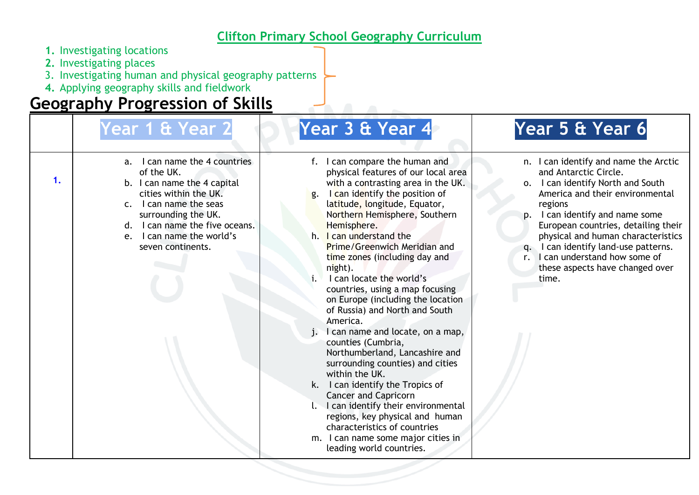## **Clifton Primary School Geography Curriculum**

- **1.** Investigating locations
- **2.** Investigating places
- 3. Investigating human and physical geography patterns
- **4.** Applying geography skills and fieldwork

## **Geography Progression of Skills**

|    | Year 1 & Year 2                                                                                                                                                                                                                                                             | Year 3 & Year 4                                                                                                                                                                                                                                                                                                                                                                                                                                                                                                                                                                                                                                                                                                                                                                                                                                                                            | Year 5 & Year 6                                                                                                                                                                                                                                                                                                                                                                                            |
|----|-----------------------------------------------------------------------------------------------------------------------------------------------------------------------------------------------------------------------------------------------------------------------------|--------------------------------------------------------------------------------------------------------------------------------------------------------------------------------------------------------------------------------------------------------------------------------------------------------------------------------------------------------------------------------------------------------------------------------------------------------------------------------------------------------------------------------------------------------------------------------------------------------------------------------------------------------------------------------------------------------------------------------------------------------------------------------------------------------------------------------------------------------------------------------------------|------------------------------------------------------------------------------------------------------------------------------------------------------------------------------------------------------------------------------------------------------------------------------------------------------------------------------------------------------------------------------------------------------------|
| 1. | I can name the 4 countries<br>$a_{\cdot}$<br>of the UK.<br>b. I can name the 4 capital<br>cities within the UK.<br>I can name the seas<br>$\mathsf{C}$ .<br>surrounding the UK.<br>d. I can name the five oceans.<br>I can name the world's<br>$e_{1}$<br>seven continents. | I can compare the human and<br>physical features of our local area<br>with a contrasting area in the UK.<br>I can identify the position of<br>g.<br>latitude, longitude, Equator,<br>Northern Hemisphere, Southern<br>Hemisphere.<br>h. I can understand the<br>Prime/Greenwich Meridian and<br>time zones (including day and<br>night).<br>I can locate the world's<br>countries, using a map focusing<br>on Europe (including the location<br>of Russia) and North and South<br>America.<br>I can name and locate, on a map,<br>counties (Cumbria,<br>Northumberland, Lancashire and<br>surrounding counties) and cities<br>within the UK.<br>k. I can identify the Tropics of<br><b>Cancer and Capricorn</b><br>I can identify their environmental<br>regions, key physical and human<br>characteristics of countries<br>m. I can name some major cities in<br>leading world countries. | n. I can identify and name the Arctic<br>and Antarctic Circle.<br>I can identify North and South<br>0.<br>America and their environmental<br>regions<br>p. I can identify and name some<br>European countries, detailing their<br>physical and human characteristics<br>I can identify land-use patterns.<br>$\mathsf{a}$ .<br>r. I can understand how some of<br>these aspects have changed over<br>time. |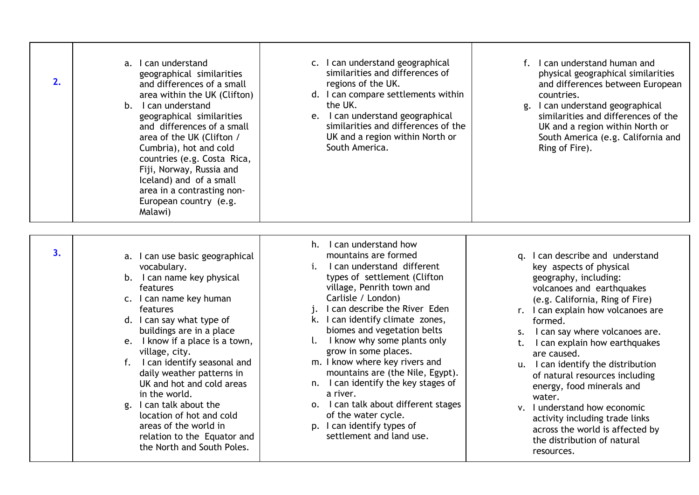| 2. | a. I can understand<br>geographical similarities<br>and differences of a small<br>area within the UK (Clifton)<br>b. I can understand<br>geographical similarities<br>and differences of a small<br>area of the UK (Clifton /<br>Cumbria), hot and cold<br>countries (e.g. Costa Rica,<br>Fiji, Norway, Russia and<br>Iceland) and of a small<br>area in a contrasting non-<br>European country (e.g.<br>Malawi)                                                                                        | c. I can understand geographical<br>similarities and differences of<br>regions of the UK.<br>d. I can compare settlements within<br>the UK.<br>e. I can understand geographical<br>similarities and differences of the<br>UK and a region within North or<br>South America.                                                                                                                                                                                                                                                                                                               | f. I can understand human and<br>physical geographical similarities<br>and differences between European<br>countries.<br>g. I can understand geographical<br>similarities and differences of the<br>UK and a region within North or<br>South America (e.g. California and<br>Ring of Fire).                                                                                                                                                                                                                                                                       |
|----|---------------------------------------------------------------------------------------------------------------------------------------------------------------------------------------------------------------------------------------------------------------------------------------------------------------------------------------------------------------------------------------------------------------------------------------------------------------------------------------------------------|-------------------------------------------------------------------------------------------------------------------------------------------------------------------------------------------------------------------------------------------------------------------------------------------------------------------------------------------------------------------------------------------------------------------------------------------------------------------------------------------------------------------------------------------------------------------------------------------|-------------------------------------------------------------------------------------------------------------------------------------------------------------------------------------------------------------------------------------------------------------------------------------------------------------------------------------------------------------------------------------------------------------------------------------------------------------------------------------------------------------------------------------------------------------------|
| 3. | a. I can use basic geographical<br>vocabulary.<br>b. I can name key physical<br>features<br>c. I can name key human<br>features<br>d. I can say what type of<br>buildings are in a place<br>e. I know if a place is a town,<br>village, city.<br>f. I can identify seasonal and<br>daily weather patterns in<br>UK and hot and cold areas<br>in the world.<br>g. I can talk about the<br>location of hot and cold<br>areas of the world in<br>relation to the Equator and<br>the North and South Poles. | h. I can understand how<br>mountains are formed<br>i.<br>I can understand different<br>types of settlement (Clifton<br>village, Penrith town and<br>Carlisle / London)<br>j. I can describe the River Eden<br>k. I can identify climate zones,<br>biomes and vegetation belts<br>I. I know why some plants only<br>grow in some places.<br>m. I know where key rivers and<br>mountains are (the Nile, Egypt).<br>n. I can identify the key stages of<br>a river.<br>o. I can talk about different stages<br>of the water cycle.<br>p. I can identify types of<br>settlement and land use. | q. I can describe and understand<br>key aspects of physical<br>geography, including:<br>volcanoes and earthquakes<br>(e.g. California, Ring of Fire)<br>r. I can explain how volcanoes are<br>formed.<br>s. I can say where volcanoes are.<br>I can explain how earthquakes<br>t.<br>are caused.<br>u. I can identify the distribution<br>of natural resources including<br>energy, food minerals and<br>water.<br>v. I understand how economic<br>activity including trade links<br>across the world is affected by<br>the distribution of natural<br>resources. |